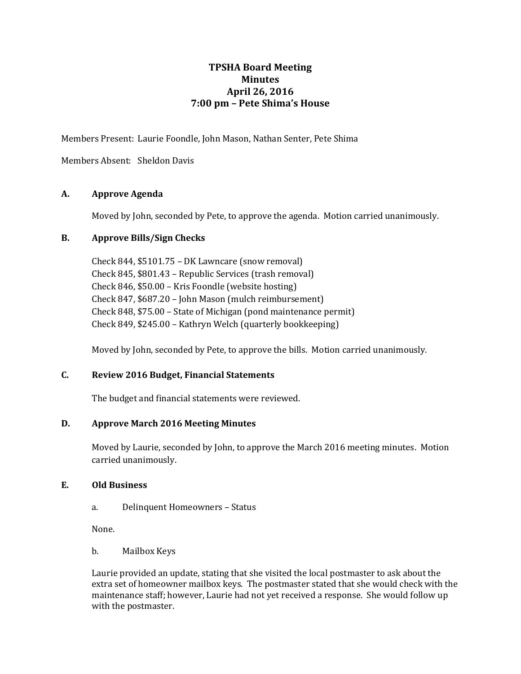# **TPSHA Board Meeting Minutes April 26, 2016 7:00 pm – Pete Shima's House**

Members Present: Laurie Foondle, John Mason, Nathan Senter, Pete Shima

Members Absent: Sheldon Davis

# **A. Approve Agenda**

Moved by John, seconded by Pete, to approve the agenda. Motion carried unanimously.

### **B. Approve Bills/Sign Checks**

Check 844, \$5101.75 – DK Lawncare (snow removal) Check 845, \$801.43 – Republic Services (trash removal) Check 846, \$50.00 – Kris Foondle (website hosting) Check 847, \$687.20 – John Mason (mulch reimbursement) Check 848, \$75.00 – State of Michigan (pond maintenance permit) Check 849, \$245.00 – Kathryn Welch (quarterly bookkeeping)

Moved by John, seconded by Pete, to approve the bills. Motion carried unanimously.

# **C. Review 2016 Budget, Financial Statements**

The budget and financial statements were reviewed.

# **D. Approve March 2016 Meeting Minutes**

Moved by Laurie, seconded by John, to approve the March 2016 meeting minutes. Motion carried unanimously.

#### **E. Old Business**

a. Delinquent Homeowners – Status

None.

b. Mailbox Keys

Laurie provided an update, stating that she visited the local postmaster to ask about the extra set of homeowner mailbox keys. The postmaster stated that she would check with the maintenance staff; however, Laurie had not yet received a response. She would follow up with the postmaster.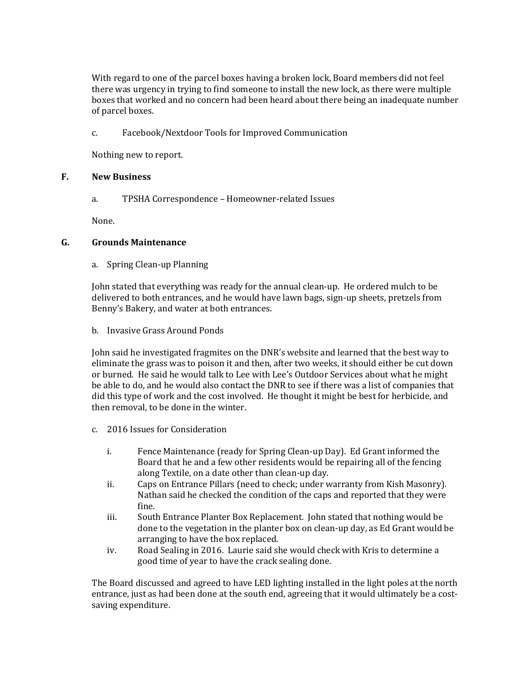With regard to one of the parcel boxes having a broken lock, Board members did not feel there was urgency in trying to find someone to install the new lock, as there were multiple boxes that worked and no concern had been heard about there being an inadequate number of parcel boxes.

c. Facebook/Nextdoor Tools for Improved Communication

Nothing new to report.

#### **F. New Business**

a. TPSHA Correspondence – Homeowner-related Issues

None.

#### **G. Grounds Maintenance**

a. Spring Clean-up Planning

John stated that everything was ready for the annual clean-up. He ordered mulch to be delivered to both entrances, and he would have lawn bags, sign-up sheets, pretzels from Benny's Bakery, and water at both entrances.

b. Invasive Grass Around Ponds

John said he investigated fragmites on the DNR's website and learned that the best way to eliminate the grass was to poison it and then, after two weeks, it should either be cut down or burned. He said he would talk to Lee with Lee's Outdoor Services about what he might be able to do, and he would also contact the DNR to see if there was a list of companies that did this type of work and the cost involved. He thought it might be best for herbicide, and then removal, to be done in the winter.

- c. 2016 Issues for Consideration
	- i. Fence Maintenance (ready for Spring Clean-up Day). Ed Grant informed the Board that he and a few other residents would be repairing all of the fencing along Textile, on a date other than clean-up day.
	- ii. Caps on Entrance Pillars (need to check; under warranty from Kish Masonry). Nathan said he checked the condition of the caps and reported that they were fine.
	- iii. South Entrance Planter Box Replacement. John stated that nothing would be done to the vegetation in the planter box on clean-up day, as Ed Grant would be arranging to have the box replaced.
	- iv. Road Sealing in 2016. Laurie said she would check with Kris to determine a good time of year to have the crack sealing done.

The Board discussed and agreed to have LED lighting installed in the light poles at the north entrance, just as had been done at the south end, agreeing that it would ultimately be a costsaving expenditure.